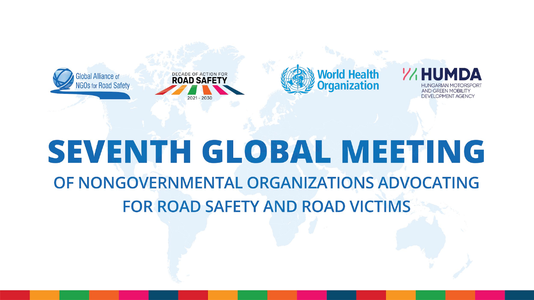







## SEVENTH GLOBAL MEETING OF NONGOVERNMENTAL ORGANIZATIONS ADVOCATING **FOR ROAD SAFETY AND ROAD VICTIMS**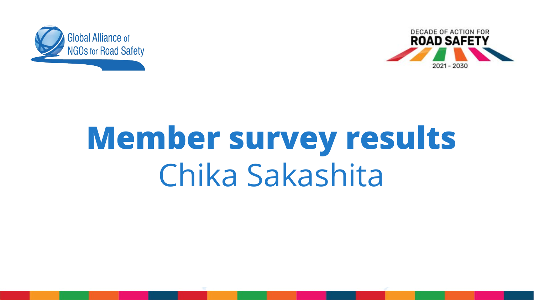



# **Member survey results** Chika Sakashita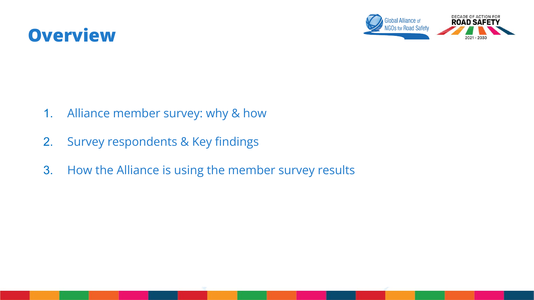



- 1. Alliance member survey: why & how
- 2. Survey respondents & Key findings
- 3. How the Alliance is using the member survey results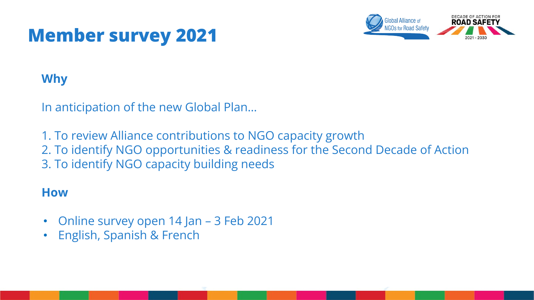### **Member survey 2021**



#### **Why**

In anticipation of the new Global Plan…

1. To review Alliance contributions to NGO capacity growth

2. To identify NGO opportunities & readiness for the Second Decade of Action

3. To identify NGO capacity building needs

#### **How**

- Online survey open 14 Jan 3 Feb 2021
- English, Spanish & French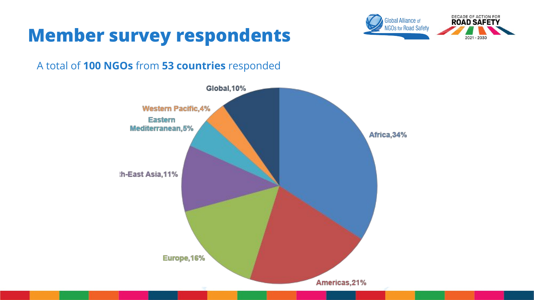



#### A total of **100 NGOs** from **53 countries** responded

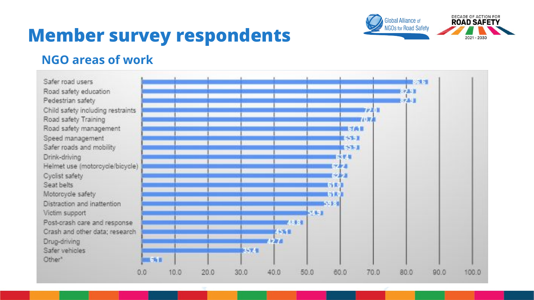

### **Member survey respondents**

#### **NGO areas of work**

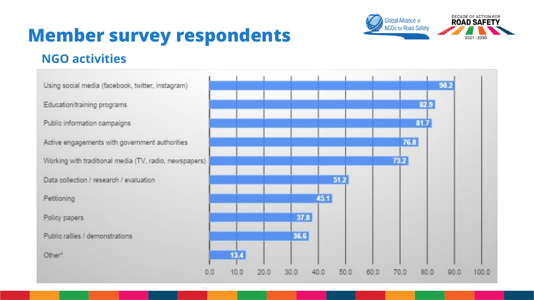

100.0

### **Member survey respondents**

#### **NGO activities**

 $90.2$ Using social media (facebook, twitter, instagram) Education/training programs 829 81.7 Public information campaigns 76.8 Active engagements with government authorities Working with traditional media (TV, radio, newspapers). 73.2  $51.2$ Data collection / research / evaluation  $45.1$ Petitioning 37.8 Policy papers Public rallies / demonstrations 36.6 Other<sup>®</sup> 13.4  $0.0$ 10.0 20.0  $30.0$  $40.0$ 50.0 60.0 70.0 80.0  $90.0$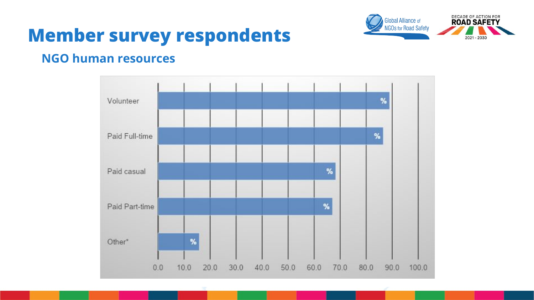

### **Member survey respondents**

#### **NGO human resources**

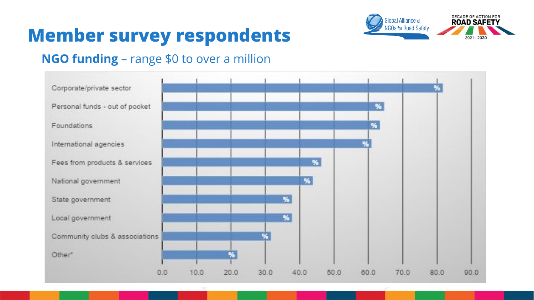



#### **NGO funding** – range \$0 to over a million

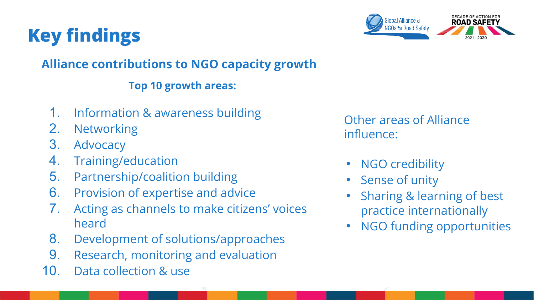



#### **Alliance contributions to NGO capacity growth**

#### **Top 10 growth areas:**

- 1. Information & awareness building
- 2. Networking
- 3. Advocacy
- 4. Training/education
- 5. Partnership/coalition building
- 6. Provision of expertise and advice
- 7. Acting as channels to make citizens' voices heard
- 8. Development of solutions/approaches
- 9. Research, monitoring and evaluation
- 10. Data collection & use

Other areas of Alliance influence:

- NGO credibility
- Sense of unity
- Sharing & learning of best practice internationally
- NGO funding opportunities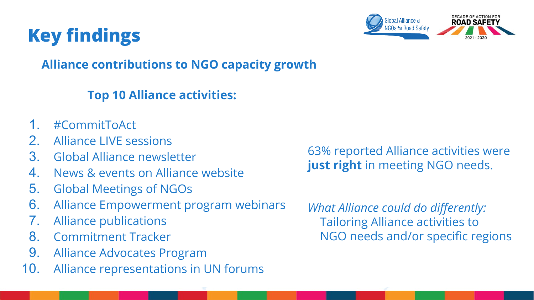

#### **Alliance contributions to NGO capacity growth**

#### **Top 10 Alliance activities:**

- 1. #CommitToAct
- 2. Alliance LIVE sessions
- 3. Global Alliance newsletter
- 4. News & events on Alliance website
- 5. Global Meetings of NGOs
- 6. Alliance Empowerment program webinars
- 7. Alliance publications
- 8. Commitment Tracker
- 9. Alliance Advocates Program
- 10. Alliance representations in UN forums

63% reported Alliance activities were **just right** in meeting NGO needs.

*What Alliance could do differently:* Tailoring Alliance activities to NGO needs and/or specific regions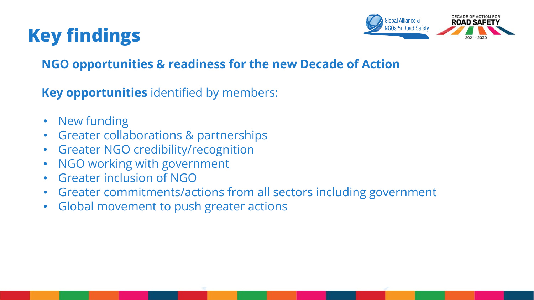

#### **NGO opportunities & readiness for the new Decade of Action**

**Key opportunities** identified by members:

- New funding
- Greater collaborations & partnerships
- Greater NGO credibility/recognition
- NGO working with government
- Greater inclusion of NGO
- Greater commitments/actions from all sectors including government
- Global movement to push greater actions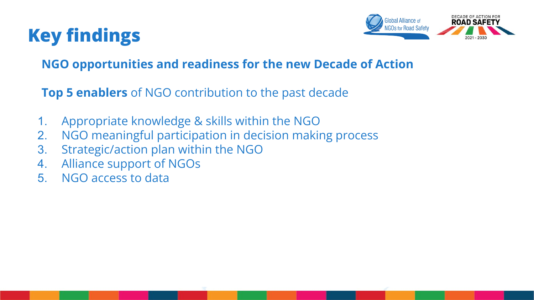

#### **NGO opportunities and readiness for the new Decade of Action**

**Top 5 enablers** of NGO contribution to the past decade

- 1. Appropriate knowledge & skills within the NGO
- 2. NGO meaningful participation in decision making process
- 3. Strategic/action plan within the NGO
- 4. Alliance support of NGOs
- 5. NGO access to data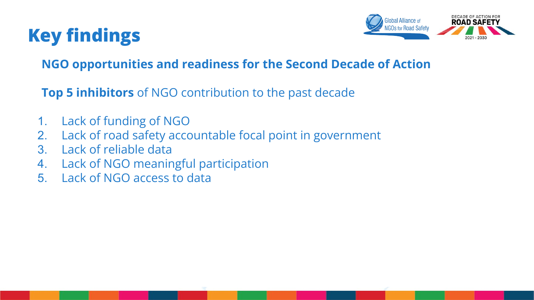

#### **NGO opportunities and readiness for the Second Decade of Action**

**Top 5 inhibitors** of NGO contribution to the past decade

- 1. Lack of funding of NGO
- 2. Lack of road safety accountable focal point in government
- 3. Lack of reliable data
- 4. Lack of NGO meaningful participation
- 5. Lack of NGO access to data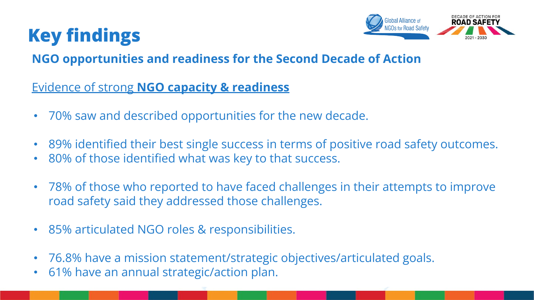



#### **NGO opportunities and readiness for the Second Decade of Action**

Evidence of strong **NGO capacity & readiness**

- 70% saw and described opportunities for the new decade.
- 89% identified their best single success in terms of positive road safety outcomes.
- 80% of those identified what was key to that success.
- 78% of those who reported to have faced challenges in their attempts to improve road safety said they addressed those challenges.
- 85% articulated NGO roles & responsibilities.
- 76.8% have a mission statement/strategic objectives/articulated goals.
- 61% have an annual strategic/action plan.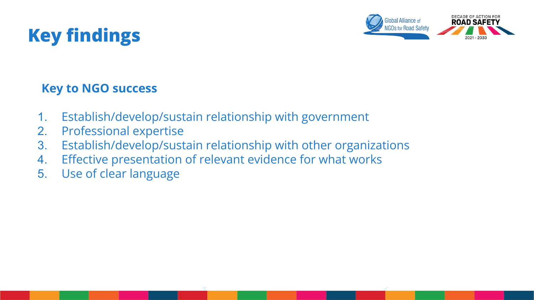



#### **Key to NGO success**

- 1. Establish/develop/sustain relationship with government
- 2. Professional expertise
- 3. Establish/develop/sustain relationship with other organizations
- 4. Effective presentation of relevant evidence for what works
- 5. Use of clear language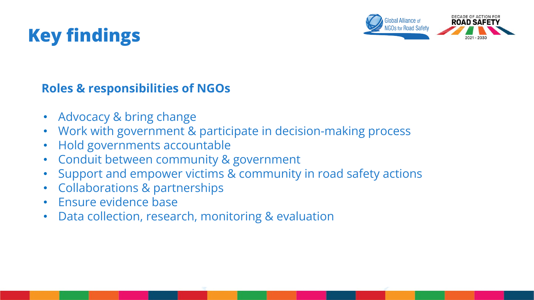

#### **Roles & responsibilities of NGOs**

- Advocacy & bring change
- Work with government & participate in decision-making process
- Hold governments accountable
- Conduit between community & government
- Support and empower victims & community in road safety actions
- Collaborations & partnerships
- Ensure evidence base
- Data collection, research, monitoring & evaluation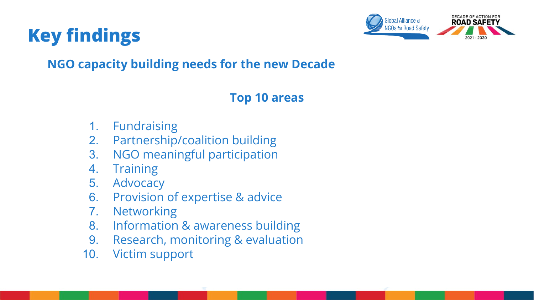



#### **NGO capacity building needs for the new Decade**

#### **Top 10 areas**

- 1. Fundraising
- 2. Partnership/coalition building
- 3. NGO meaningful participation
- 4. Training
- 5. Advocacy
- 6. Provision of expertise & advice
- 7. Networking
- 8. Information & awareness building
- 9. Research, monitoring & evaluation
- 10. Victim support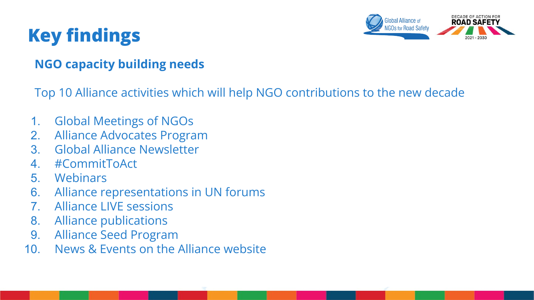

#### **NGO capacity building needs**

Top 10 Alliance activities which will help NGO contributions to the new decade

- 1. Global Meetings of NGOs
- 2. Alliance Advocates Program
- 3. Global Alliance Newsletter
- 4. #CommitToAct
- 5. Webinars
- 6. Alliance representations in UN forums
- 7. Alliance LIVE sessions
- 8. Alliance publications
- 9. Alliance Seed Program
- 10. News & Events on the Alliance website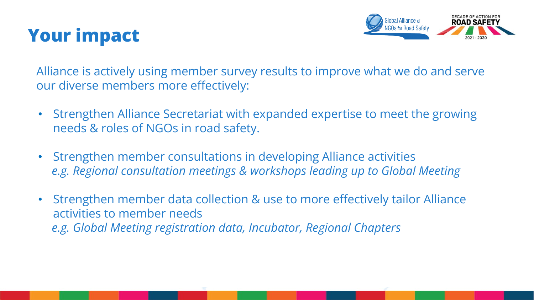



Alliance is actively using member survey results to improve what we do and serve our diverse members more effectively:

- Strengthen Alliance Secretariat with expanded expertise to meet the growing needs & roles of NGOs in road safety.
- Strengthen member consultations in developing Alliance activities *e.g. Regional consultation meetings & workshops leading up to Global Meeting*
- Strengthen member data collection & use to more effectively tailor Alliance activities to member needs *e.g. Global Meeting registration data, Incubator, Regional Chapters*